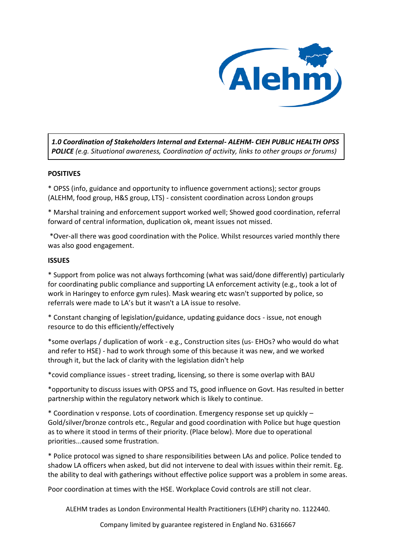

*1.0 Coordination of Stakeholders Internal and External- ALEHM- CIEH PUBLIC HEALTH OPSS POLICE (e.g. Situational awareness, Coordination of activity, links to other groups or forums)*

## **POSITIVES**

\* OPSS (info, guidance and opportunity to influence government actions); sector groups (ALEHM, food group, H&S group, LTS) - consistent coordination across London groups

\* Marshal training and enforcement support worked well; Showed good coordination, referral forward of central information, duplication ok, meant issues not missed.

\*Over-all there was good coordination with the Police. Whilst resources varied monthly there was also good engagement.

#### **ISSUES**

\* Support from police was not always forthcoming (what was said/done differently) particularly for coordinating public compliance and supporting LA enforcement activity (e.g., took a lot of work in Haringey to enforce gym rules). Mask wearing etc wasn't supported by police, so referrals were made to LA's but it wasn't a LA issue to resolve.

\* Constant changing of legislation/guidance, updating guidance docs - issue, not enough resource to do this efficiently/effectively

\*some overlaps / duplication of work - e.g., Construction sites (us- EHOs? who would do what and refer to HSE) - had to work through some of this because it was new, and we worked through it, but the lack of clarity with the legislation didn't help

\*covid compliance issues - street trading, licensing, so there is some overlap with BAU

\*opportunity to discuss issues with OPSS and TS, good influence on Govt. Has resulted in better partnership within the regulatory network which is likely to continue.

\* Coordination v response. Lots of coordination. Emergency response set up quickly – Gold/silver/bronze controls etc., Regular and good coordination with Police but huge question as to where it stood in terms of their priority. (Place below). More due to operational priorities...caused some frustration.

\* Police protocol was signed to share responsibilities between LAs and police. Police tended to shadow LA officers when asked, but did not intervene to deal with issues within their remit. Eg. the ability to deal with gatherings without effective police support was a problem in some areas.

Poor coordination at times with the HSE. Workplace Covid controls are still not clear.

ALEHM trades as London Environmental Health Practitioners (LEHP) charity no. 1122440.

Company limited by guarantee registered in England No. 6316667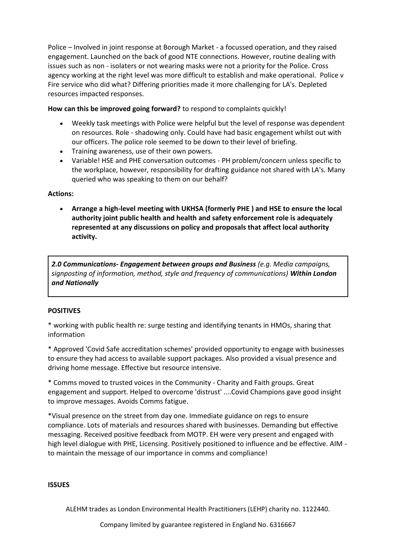Police – Involved in joint response at Borough Market - a focussed operation, and they raised engagement. Launched on the back of good NTE connections. However, routine dealing with issues such as non - isolaters or not wearing masks were not a priority for the Police. Cross agency working at the right level was more difficult to establish and make operational. Police v Fire service who did what? Differing priorities made it more challenging for LA's. Depleted resources impacted responses.

**How can this be improved going forward?** to respond to complaints quickly!

- Weekly task meetings with Police were helpful but the level of response was dependent on resources. Role - shadowing only. Could have had basic engagement whilst out with our officers. The police role seemed to be down to their level of briefing.
- Training awareness, use of their own powers.
- Variable! HSE and PHE conversation outcomes PH problem/concern unless specific to the workplace, however, responsibility for drafting guidance not shared with LA's. Many queried who was speaking to them on our behalf?

## **Actions:**

 **Arrange a high-level meeting with UKHSA (formerly PHE ) and HSE to ensure the local authority joint public health and health and safety enforcement role is adequately represented at any discussions on policy and proposals that affect local authority activity.**

*2.0 Communications- Engagement between groups and Business (e.g. Media campaigns, signposting of information, method, style and frequency of communications) Within London and Nationally*

## **POSITIVES**

\* working with public health re: surge testing and identifying tenants in HMOs, sharing that information

\* Approved 'Covid Safe accreditation schemes' provided opportunity to engage with businesses to ensure they had access to available support packages. Also provided a visual presence and driving home message. Effective but resource intensive.

\* Comms moved to trusted voices in the Community - Charity and Faith groups. Great engagement and support. Helped to overcome 'distrust' ....Covid Champions gave good insight to improve messages. Avoids Comms fatigue.

\*Visual presence on the street from day one. Immediate guidance on regs to ensure compliance. Lots of materials and resources shared with businesses. Demanding but effective messaging. Received positive feedback from MOTP. EH were very present and engaged with high level dialogue with PHE, Licensing. Positively positioned to influence and be effective. AIM to maintain the message of our importance in comms and compliance!

## **ISSUES**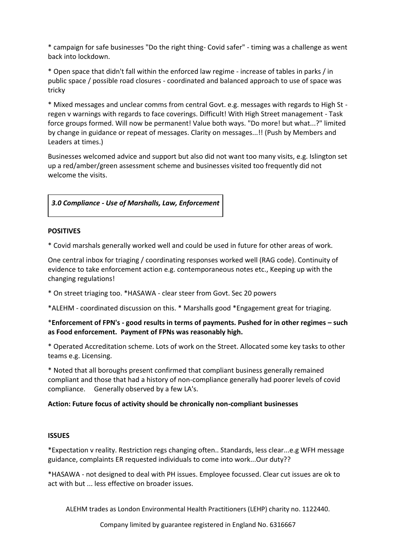\* campaign for safe businesses "Do the right thing- Covid safer" - timing was a challenge as went back into lockdown.

\* Open space that didn't fall within the enforced law regime - increase of tables in parks / in public space / possible road closures - coordinated and balanced approach to use of space was tricky

\* Mixed messages and unclear comms from central Govt. e.g. messages with regards to High St regen v warnings with regards to face coverings. Difficult! With High Street management - Task force groups formed. Will now be permanent! Value both ways. "Do more! but what...?" limited by change in guidance or repeat of messages. Clarity on messages...!! (Push by Members and Leaders at times.)

Businesses welcomed advice and support but also did not want too many visits, e.g. Islington set up a red/amber/green assessment scheme and businesses visited too frequently did not welcome the visits.

## *3.0 Compliance - Use of Marshalls, Law, Enforcement*

## **POSITIVES**

\* Covid marshals generally worked well and could be used in future for other areas of work.

One central inbox for triaging / coordinating responses worked well (RAG code). Continuity of evidence to take enforcement action e.g. contemporaneous notes etc., Keeping up with the changing regulations!

\* On street triaging too. \*HASAWA - clear steer from Govt. Sec 20 powers

\*ALEHM - coordinated discussion on this. \* Marshalls good \*Engagement great for triaging.

## \***Enforcement of FPN's - good results in terms of payments. Pushed for in other regimes – such as Food enforcement. Payment of FPNs was reasonably high.**

\* Operated Accreditation scheme. Lots of work on the Street. Allocated some key tasks to other teams e.g. Licensing.

\* Noted that all boroughs present confirmed that compliant business generally remained compliant and those that had a history of non-compliance generally had poorer levels of covid compliance. Generally observed by a few LA's.

## **Action: Future focus of activity should be chronically non-compliant businesses**

#### **ISSUES**

\*Expectation v reality. Restriction regs changing often.. Standards, less clear...e.g WFH message guidance, complaints ER requested individuals to come into work...Our duty??

\*HASAWA - not designed to deal with PH issues. Employee focussed. Clear cut issues are ok to act with but ... less effective on broader issues.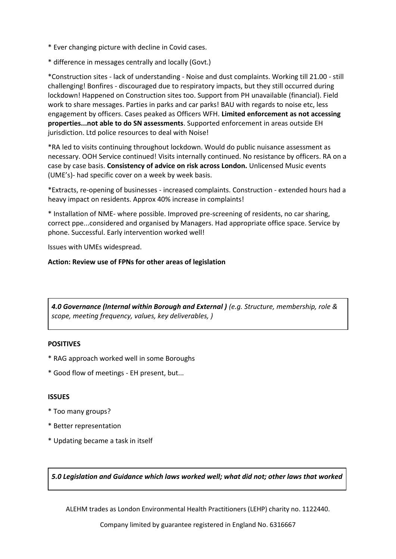- \* Ever changing picture with decline in Covid cases.
- \* difference in messages centrally and locally (Govt.)

\*Construction sites - lack of understanding - Noise and dust complaints. Working till 21.00 - still challenging! Bonfires - discouraged due to respiratory impacts, but they still occurred during lockdown! Happened on Construction sites too. Support from PH unavailable (financial). Field work to share messages. Parties in parks and car parks! BAU with regards to noise etc, less engagement by officers. Cases peaked as Officers WFH. **Limited enforcement as not accessing properties...not able to do SN assessments**. Supported enforcement in areas outside EH jurisdiction. Ltd police resources to deal with Noise!

\*RA led to visits continuing throughout lockdown. Would do public nuisance assessment as necessary. OOH Service continued! Visits internally continued. No resistance by officers. RA on a case by case basis. **Consistency of advice on risk across London.** Unlicensed Music events (UME's)- had specific cover on a week by week basis.

\*Extracts, re-opening of businesses - increased complaints. Construction - extended hours had a heavy impact on residents. Approx 40% increase in complaints!

\* Installation of NME- where possible. Improved pre-screening of residents, no car sharing, correct ppe...considered and organised by Managers. Had appropriate office space. Service by phone. Successful. Early intervention worked well!

Issues with UMEs widespread.

#### **Action: Review use of FPNs for other areas of legislation**

*4.0 Governance (Internal within Borough and External ) (e.g. Structure, membership, role & scope, meeting frequency, values, key deliverables, )*

#### **POSITIVES**

- \* RAG approach worked well in some Boroughs
- \* Good flow of meetings EH present, but...

#### **ISSUES**

- \* Too many groups?
- \* Better representation
- \* Updating became a task in itself

*5.0 Legislation and Guidance which laws worked well; what did not; other laws that worked*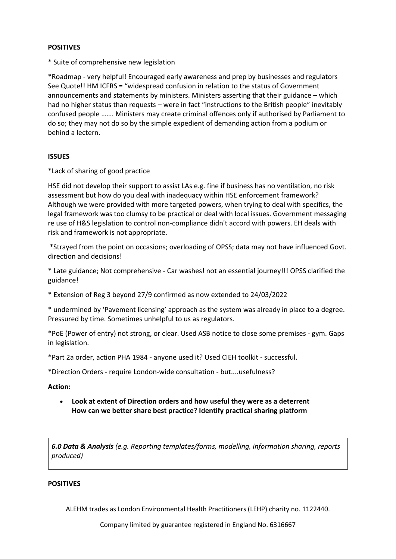## **POSITIVES**

\* Suite of comprehensive new legislation

\*Roadmap - very helpful! Encouraged early awareness and prep by businesses and regulators See Quote!! HM ICFRS = "widespread confusion in relation to the status of Government announcements and statements by ministers. Ministers asserting that their guidance – which had no higher status than requests – were in fact "instructions to the British people" inevitably confused people ……. Ministers may create criminal offences only if authorised by Parliament to do so; they may not do so by the simple expedient of demanding action from a podium or behind a lectern.

## **ISSUES**

\*Lack of sharing of good practice

HSE did not develop their support to assist LAs e.g. fine if business has no ventilation, no risk assessment but how do you deal with inadequacy within HSE enforcement framework? Although we were provided with more targeted powers, when trying to deal with specifics, the legal framework was too clumsy to be practical or deal with local issues. Government messaging re use of H&S legislation to control non-compliance didn't accord with powers. EH deals with risk and framework is not appropriate.

\*Strayed from the point on occasions; overloading of OPSS; data may not have influenced Govt. direction and decisions!

\* Late guidance; Not comprehensive - Car washes! not an essential journey!!! OPSS clarified the guidance!

\* Extension of Reg 3 beyond 27/9 confirmed as now extended to 24/03/2022

\* undermined by 'Pavement licensing' approach as the system was already in place to a degree. Pressured by time. Sometimes unhelpful to us as regulators.

\*PoE (Power of entry) not strong, or clear. Used ASB notice to close some premises - gym. Gaps in legislation.

\*Part 2a order, action PHA 1984 - anyone used it? Used CIEH toolkit - successful.

\*Direction Orders - require London-wide consultation - but....usefulness?

#### **Action:**

 **Look at extent of Direction orders and how useful they were as a deterrent How can we better share best practice? Identify practical sharing platform**

*6.0 Data & Analysis (e.g. Reporting templates/forms, modelling, information sharing, reports produced)*

#### **POSITIVES**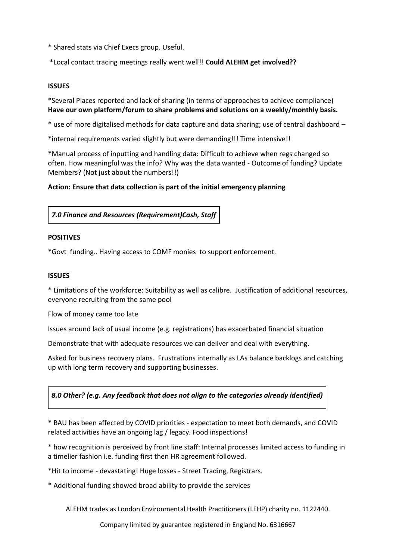- \* Shared stats via Chief Execs group. Useful.
- \*Local contact tracing meetings really went well!! **Could ALEHM get involved??**

### **ISSUES**

\*Several Places reported and lack of sharing (in terms of approaches to achieve compliance) **Have our own platform/forum to share problems and solutions on a weekly/monthly basis.**

\* use of more digitalised methods for data capture and data sharing; use of central dashboard –

\*internal requirements varied slightly but were demanding!!! Time intensive!!

\*Manual process of inputting and handling data: Difficult to achieve when regs changed so often. How meaningful was the info? Why was the data wanted - Outcome of funding? Update Members? (Not just about the numbers!!)

## **Action: Ensure that data collection is part of the initial emergency planning**

## *7.0 Finance and Resources (Requirement)Cash, Staff*

#### **POSITIVES**

\*Govt funding.. Having access to COMF monies to support enforcement.

#### **ISSUES**

\* Limitations of the workforce: Suitability as well as calibre. Justification of additional resources, everyone recruiting from the same pool

Flow of money came too late

Issues around lack of usual income (e.g. registrations) has exacerbated financial situation

Demonstrate that with adequate resources we can deliver and deal with everything.

Asked for business recovery plans. Frustrations internally as LAs balance backlogs and catching up with long term recovery and supporting businesses.

## *8.0 Other? (e.g. Any feedback that does not align to the categories already identified)*

\* BAU has been affected by COVID priorities - expectation to meet both demands, and COVID related activities have an ongoing lag / legacy. Food inspections!

\* how recognition is perceived by front line staff: Internal processes limited access to funding in a timelier fashion i.e. funding first then HR agreement followed.

\*Hit to income - devastating! Huge losses - Street Trading, Registrars.

\* Additional funding showed broad ability to provide the services